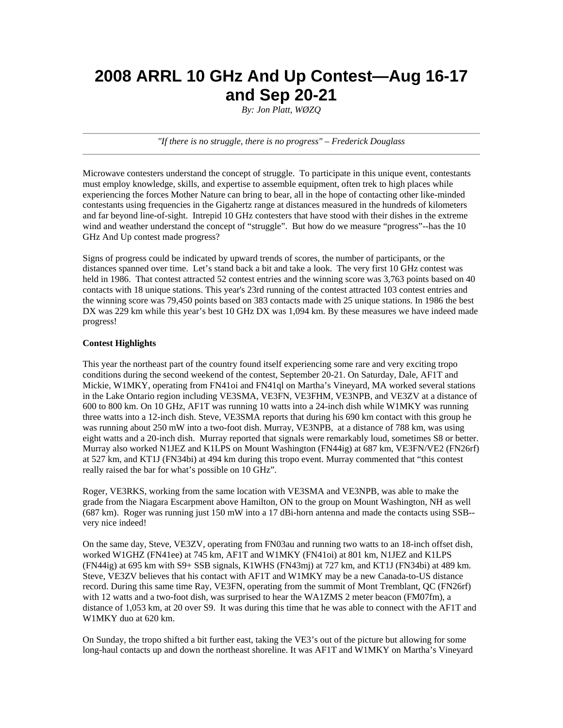# **2008 ARRL 10 GHz And Up Contest—Aug 16-17 and Sep 20-21**

*By: Jon Platt, WØZQ* 

*"If there is no struggle, there is no progress" – Frederick Douglass*

Microwave contesters understand the concept of struggle. To participate in this unique event, contestants must employ knowledge, skills, and expertise to assemble equipment, often trek to high places while experiencing the forces Mother Nature can bring to bear, all in the hope of contacting other like-minded contestants using frequencies in the Gigahertz range at distances measured in the hundreds of kilometers and far beyond line-of-sight. Intrepid 10 GHz contesters that have stood with their dishes in the extreme wind and weather understand the concept of "struggle". But how do we measure "progress"--has the 10 GHz And Up contest made progress?

Signs of progress could be indicated by upward trends of scores, the number of participants, or the distances spanned over time. Let's stand back a bit and take a look. The very first 10 GHz contest was held in 1986. That contest attracted 52 contest entries and the winning score was 3,763 points based on 40 contacts with 18 unique stations. This year's 23rd running of the contest attracted 103 contest entries and the winning score was 79,450 points based on 383 contacts made with 25 unique stations. In 1986 the best DX was 229 km while this year's best 10 GHz DX was 1,094 km. By these measures we have indeed made progress!

#### **Contest Highlights**

This year the northeast part of the country found itself experiencing some rare and very exciting tropo conditions during the second weekend of the contest, September 20-21. On Saturday, Dale, AF1T and Mickie, W1MKY, operating from FN41oi and FN41ql on Martha's Vineyard, MA worked several stations in the Lake Ontario region including VE3SMA, VE3FN, VE3FHM, VE3NPB, and VE3ZV at a distance of 600 to 800 km. On 10 GHz, AF1T was running 10 watts into a 24-inch dish while W1MKY was running three watts into a 12-inch dish. Steve, VE3SMA reports that during his 690 km contact with this group he was running about 250 mW into a two-foot dish. Murray, VE3NPB, at a distance of 788 km, was using eight watts and a 20-inch dish. Murray reported that signals were remarkably loud, sometimes S8 or better. Murray also worked N1JEZ and K1LPS on Mount Washington (FN44ig) at 687 km, VE3FN/VE2 (FN26rf) at 527 km, and KT1J (FN34bi) at 494 km during this tropo event. Murray commented that "this contest really raised the bar for what's possible on 10 GHz".

Roger, VE3RKS, working from the same location with VE3SMA and VE3NPB, was able to make the grade from the Niagara Escarpment above Hamilton, ON to the group on Mount Washington, NH as well (687 km). Roger was running just 150 mW into a 17 dBi-horn antenna and made the contacts using SSB- very nice indeed!

On the same day, Steve, VE3ZV, operating from FN03au and running two watts to an 18-inch offset dish, worked W1GHZ (FN41ee) at 745 km, AF1T and W1MKY (FN41oi) at 801 km, N1JEZ and K1LPS (FN44ig) at 695 km with S9+ SSB signals, K1WHS (FN43mj) at 727 km, and KT1J (FN34bi) at 489 km. Steve, VE3ZV believes that his contact with AF1T and W1MKY may be a new Canada-to-US distance record. During this same time Ray, VE3FN, operating from the summit of Mont Tremblant, QC (FN26rf) with 12 watts and a two-foot dish, was surprised to hear the WA1ZMS 2 meter beacon (FM07fm), a distance of 1,053 km, at 20 over S9. It was during this time that he was able to connect with the AF1T and W1MKY duo at 620 km.

On Sunday, the tropo shifted a bit further east, taking the VE3's out of the picture but allowing for some long-haul contacts up and down the northeast shoreline. It was AF1T and W1MKY on Martha's Vineyard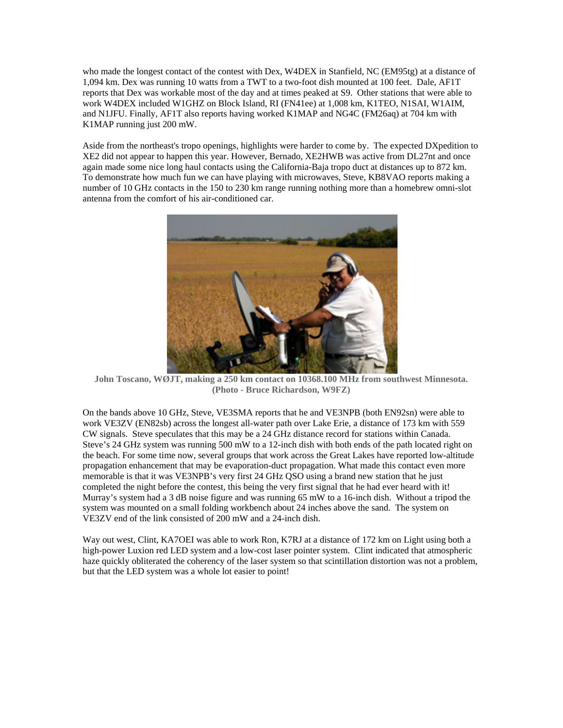who made the longest contact of the contest with Dex, W4DEX in Stanfield, NC (EM95tg) at a distance of 1,094 km. Dex was running 10 watts from a TWT to a two-foot dish mounted at 100 feet. Dale, AF1T reports that Dex was workable most of the day and at times peaked at S9. Other stations that were able to work W4DEX included W1GHZ on Block Island, RI (FN41ee) at 1,008 km, K1TEO, N1SAI, W1AIM, and N1JFU. Finally, AF1T also reports having worked K1MAP and NG4C (FM26aq) at 704 km with K1MAP running just 200 mW.

Aside from the northeast's tropo openings, highlights were harder to come by. The expected DXpedition to XE2 did not appear to happen this year. However, Bernado, XE2HWB was active from DL27nt and once again made some nice long haul contacts using the California-Baja tropo duct at distances up to 872 km. To demonstrate how much fun we can have playing with microwaves, Steve, KB8VAO reports making a number of 10 GHz contacts in the 150 to 230 km range running nothing more than a homebrew omni-slot antenna from the comfort of his air-conditioned car.



**John Toscano, WØJT, making a 250 km contact on 10368.100 MHz from southwest Minnesota. (Photo - Bruce Richardson, W9FZ)** 

On the bands above 10 GHz, Steve, VE3SMA reports that he and VE3NPB (both EN92sn) were able to work VE3ZV (EN82sb) across the longest all-water path over Lake Erie, a distance of 173 km with 559 CW signals. Steve speculates that this may be a 24 GHz distance record for stations within Canada. Steve's 24 GHz system was running 500 mW to a 12-inch dish with both ends of the path located right on the beach. For some time now, several groups that work across the Great Lakes have reported low-altitude propagation enhancement that may be evaporation-duct propagation. What made this contact even more memorable is that it was VE3NPB's very first 24 GHz QSO using a brand new station that he just completed the night before the contest, this being the very first signal that he had ever heard with it! Murray's system had a 3 dB noise figure and was running 65 mW to a 16-inch dish. Without a tripod the system was mounted on a small folding workbench about 24 inches above the sand. The system on VE3ZV end of the link consisted of 200 mW and a 24-inch dish.

Way out west, Clint, KA7OEI was able to work Ron, K7RJ at a distance of 172 km on Light using both a high-power Luxion red LED system and a low-cost laser pointer system. Clint indicated that atmospheric haze quickly obliterated the coherency of the laser system so that scintillation distortion was not a problem, but that the LED system was a whole lot easier to point!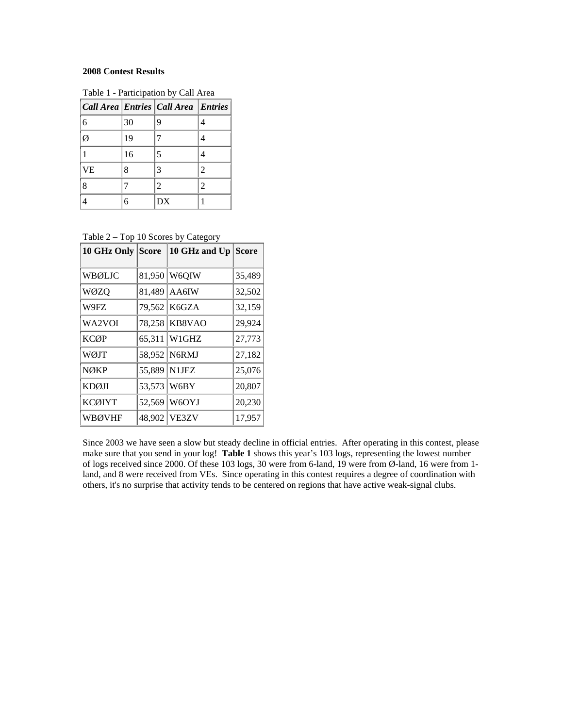### **2008 Contest Results**

|    |    | Call Area Entries Call Area Entries |                |
|----|----|-------------------------------------|----------------|
| 6  | 30 | 9                                   | 4              |
| Ø  | 19 |                                     | 4              |
|    | 16 | 5                                   |                |
| VE | 8  |                                     | $\mathfrak{D}$ |
| 8  |    | $\overline{c}$                      | $\mathfrak{D}$ |
|    |    | DX                                  |                |

Table 1 - Participation by Call Area

Table 2 – Top 10 Scores by Category

| 10 GHz Only   | <b>Score</b> | 10 GHz and Up Score |        |
|---------------|--------------|---------------------|--------|
| WBØLJC        |              | 81,950 W6QIW        | 35,489 |
| WØZQ          | 81,489       | AA6IW               | 32,502 |
| W9FZ          |              | 79,562 K6GZA        | 32,159 |
| WA2VOI        | 78,258       | KB8VAO              | 29,924 |
| <b>KCØP</b>   | 65,311       | W1GHZ               | 27,773 |
| WØJT          |              | 58,952 N6RMJ        | 27,182 |
| <b>NØKP</b>   |              | 55,889 N1JEZ        | 25,076 |
| <b>KDØJI</b>  | 53,573       | W6BY                | 20,807 |
| <b>KCØIYT</b> | 52,569       | W6OYJ               | 20,230 |
| <b>WBØVHF</b> | 48,902       | VE3ZV               | 17,957 |

Since 2003 we have seen a slow but steady decline in official entries. After operating in this contest, please make sure that you send in your log! **Table 1** shows this year's 103 logs, representing the lowest number of logs received since 2000. Of these 103 logs, 30 were from 6-land, 19 were from Ø-land, 16 were from 1 land, and 8 were received from VEs. Since operating in this contest requires a degree of coordination with others, it's no surprise that activity tends to be centered on regions that have active weak-signal clubs.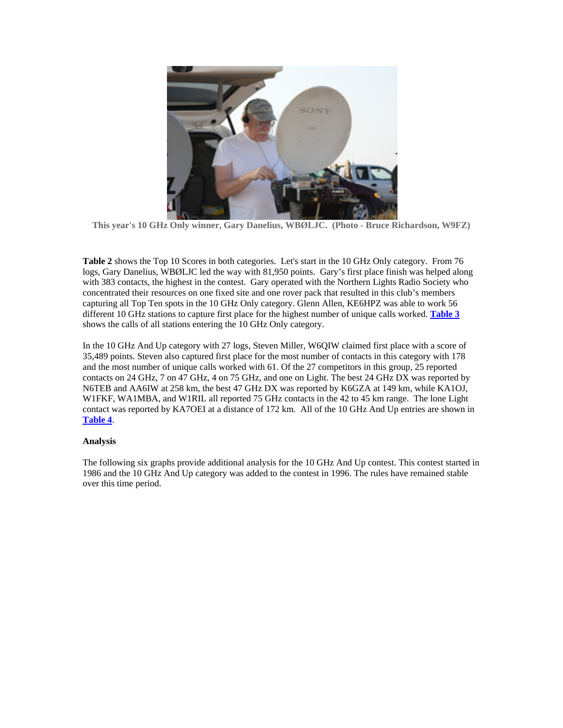

**This year's 10 GHz Only winner, Gary Danelius, WBØLJC. (Photo - Bruce Richardson, W9FZ)** 

**Table 2** shows the Top 10 Scores in both categories. Let's start in the 10 GHz Only category. From 76 logs, Gary Danelius, WBØLJC led the way with 81,950 points. Gary's first place finish was helped along with 383 contacts, the highest in the contest. Gary operated with the Northern Lights Radio Society who concentrated their resources on one fixed site and one rover pack that resulted in this club's members capturing all Top Ten spots in the 10 GHz Only category. Glenn Allen, KE6HPZ was able to work 56 different 10 GHz stations to capture first place for the highest number of unique calls worked. **Table 3** shows the calls of all stations entering the 10 GHz Only category.

In the 10 GHz And Up category with 27 logs, Steven Miller, W6QIW claimed first place with a score of 35,489 points. Steven also captured first place for the most number of contacts in this category with 178 and the most number of unique calls worked with 61. Of the 27 competitors in this group, 25 reported contacts on 24 GHz, 7 on 47 GHz, 4 on 75 GHz, and one on Light. The best 24 GHz DX was reported by N6TEB and AA6IW at 258 km, the best 47 GHz DX was reported by K6GZA at 149 km, while KA1OJ, W1FKF, WA1MBA, and W1RIL all reported 75 GHz contacts in the 42 to 45 km range. The lone Light contact was reported by KA7OEI at a distance of 172 km. All of the 10 GHz And Up entries are shown in **Table 4**.

### **Analysis**

The following six graphs provide additional analysis for the 10 GHz And Up contest. This contest started in 1986 and the 10 GHz And Up category was added to the contest in 1996. The rules have remained stable over this time period.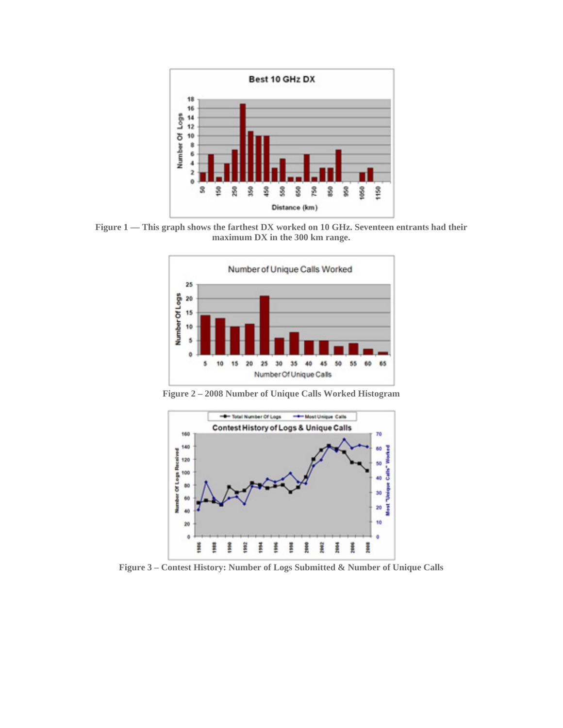

**Figure 1 — This graph shows the farthest DX worked on 10 GHz. Seventeen entrants had their maximum DX in the 300 km range.** 



**Figure 2 – 2008 Number of Unique Calls Worked Histogram** 



**Figure 3 – Contest History: Number of Logs Submitted & Number of Unique Calls**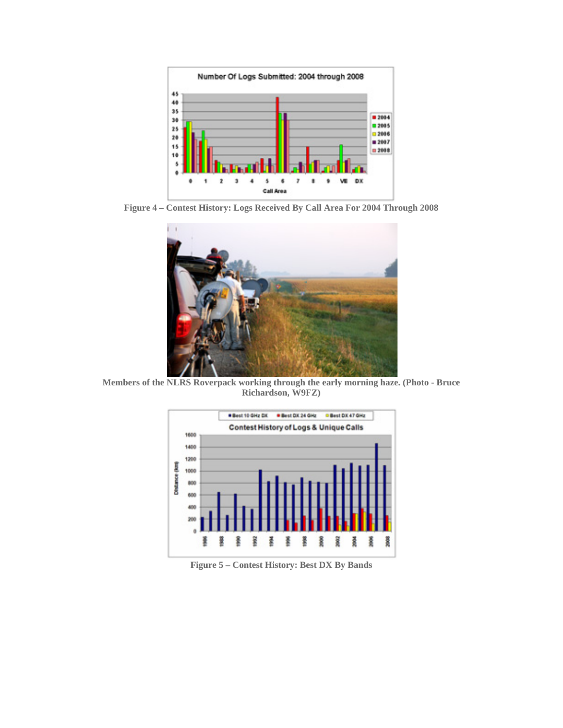

**Figure 4 – Contest History: Logs Received By Call Area For 2004 Through 2008** 



**Members of the NLRS Roverpack working through the early morning haze. (Photo - Bruce Richardson, W9FZ)** 



**Figure 5 – Contest History: Best DX By Bands**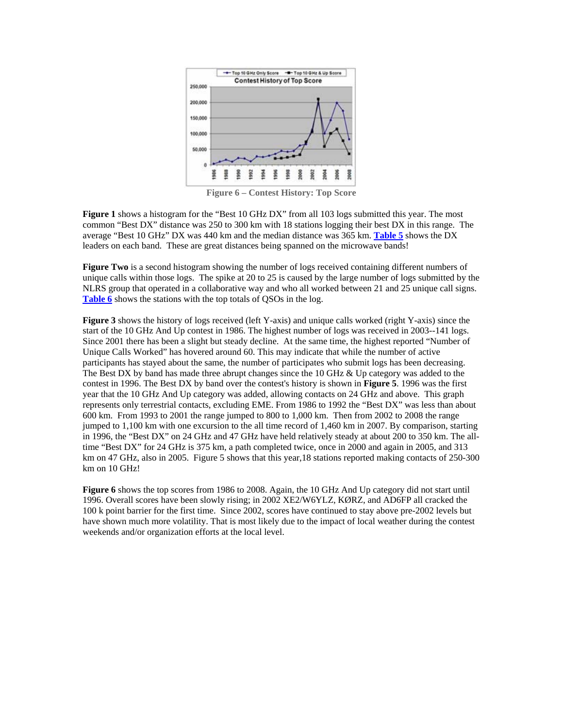

**Figure 6 – Contest History: Top Score** 

**Figure 1** shows a histogram for the "Best 10 GHz DX" from all 103 logs submitted this year. The most common "Best DX" distance was 250 to 300 km with 18 stations logging their best DX in this range. The average "Best 10 GHz" DX was 440 km and the median distance was 365 km. **Table 5** shows the DX leaders on each band. These are great distances being spanned on the microwave bands!

**Figure Two** is a second histogram showing the number of logs received containing different numbers of unique calls within those logs. The spike at 20 to 25 is caused by the large number of logs submitted by the NLRS group that operated in a collaborative way and who all worked between 21 and 25 unique call signs. Table 6 shows the stations with the top totals of QSOs in the log.

**Figure 3** shows the history of logs received (left Y-axis) and unique calls worked (right Y-axis) since the start of the 10 GHz And Up contest in 1986. The highest number of logs was received in 2003--141 logs. Since 2001 there has been a slight but steady decline. At the same time, the highest reported "Number of Unique Calls Worked" has hovered around 60. This may indicate that while the number of active participants has stayed about the same, the number of participates who submit logs has been decreasing. The Best DX by band has made three abrupt changes since the  $10 \text{ GHz} \& \text{ Up category}$  was added to the contest in 1996. The Best DX by band over the contest's history is shown in **Figure 5**. 1996 was the first year that the 10 GHz And Up category was added, allowing contacts on 24 GHz and above. This graph represents only terrestrial contacts, excluding EME. From 1986 to 1992 the "Best DX" was less than about 600 km. From 1993 to 2001 the range jumped to 800 to 1,000 km. Then from 2002 to 2008 the range jumped to 1,100 km with one excursion to the all time record of 1,460 km in 2007. By comparison, starting in 1996, the "Best DX" on 24 GHz and 47 GHz have held relatively steady at about 200 to 350 km. The alltime "Best DX" for 24 GHz is 375 km, a path completed twice, once in 2000 and again in 2005, and 313 km on 47 GHz, also in 2005. Figure 5 shows that this year,18 stations reported making contacts of 250-300 km on 10 GHz!

**Figure 6** shows the top scores from 1986 to 2008. Again, the 10 GHz And Up category did not start until 1996. Overall scores have been slowly rising; in 2002 XE2/W6YLZ, KØRZ, and AD6FP all cracked the 100 k point barrier for the first time. Since 2002, scores have continued to stay above pre-2002 levels but have shown much more volatility. That is most likely due to the impact of local weather during the contest weekends and/or organization efforts at the local level.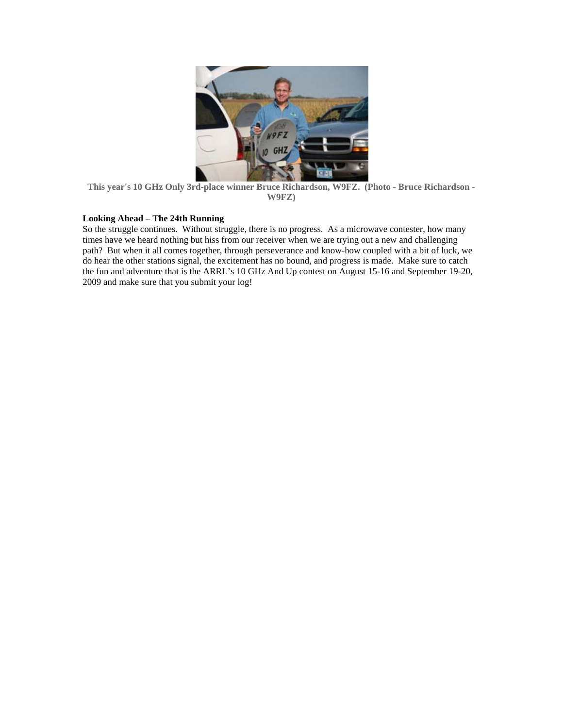

**This year's 10 GHz Only 3rd-place winner Bruce Richardson, W9FZ. (Photo - Bruce Richardson - W9FZ)** 

### **Looking Ahead – The 24th Running**

So the struggle continues. Without struggle, there is no progress. As a microwave contester, how many times have we heard nothing but hiss from our receiver when we are trying out a new and challenging path? But when it all comes together, through perseverance and know-how coupled with a bit of luck, we do hear the other stations signal, the excitement has no bound, and progress is made. Make sure to catch the fun and adventure that is the ARRL's 10 GHz And Up contest on August 15-16 and September 19-20, 2009 and make sure that you submit your log!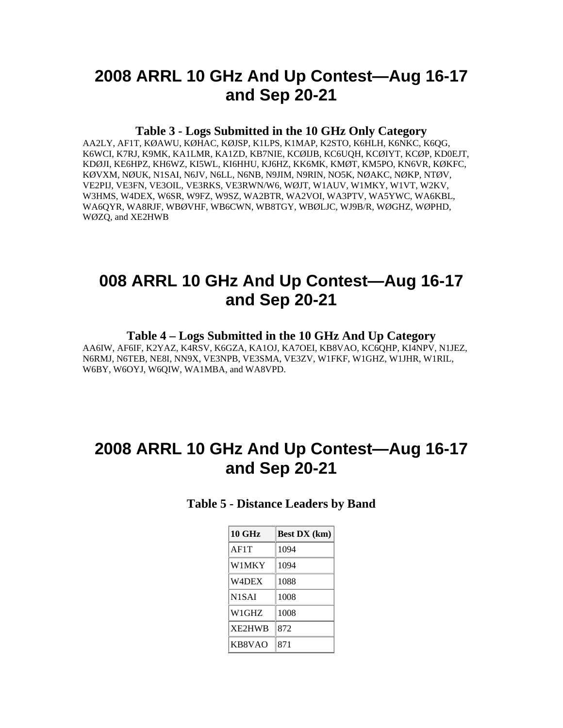# **2008 ARRL 10 GHz And Up Contest—Aug 16-17 and Sep 20-21**

### **Table 3 - Logs Submitted in the 10 GHz Only Category**

AA2LY, AF1T, KØAWU, KØHAC, KØJSP, K1LPS, K1MAP, K2STO, K6HLH, K6NKC, K6QG, K6WCI, K7RJ, K9MK, KA1LMR, KA1ZD, KB7NIE, KCØIJB, KC6UQH, KCØIYT, KCØP, KD0EJT, KDØJI, KE6HPZ, KH6WZ, KI5WL, KI6HHU, KJ6HZ, KK6MK, KMØT, KM5PO, KN6VR, KØKFC, KØVXM, NØUK, N1SAI, N6JV, N6LL, N6NB, N9JIM, N9RIN, NO5K, NØAKC, NØKP, NTØV, VE2PIJ, VE3FN, VE3OIL, VE3RKS, VE3RWN/W6, WØJT, W1AUV, W1MKY, W1VT, W2KV, W3HMS, W4DEX, W6SR, W9FZ, W9SZ, WA2BTR, WA2VOI, WA3PTV, WA5YWC, WA6KBL, WA6QYR, WA8RJF, WBØVHF, WB6CWN, WB8TGY, WBØLJC, WJ9B/R, WØGHZ, WØPHD, WØZQ, and XE2HWB

## **008 ARRL 10 GHz And Up Contest—Aug 16-17 and Sep 20-21**

### **Table 4 – Logs Submitted in the 10 GHz And Up Category**

AA6IW, AF6IF, K2YAZ, K4RSV, K6GZA, KA1OJ, KA7OEI, KB8VAO, KC6QHP, KI4NPV, N1JEZ, N6RMJ, N6TEB, NE8I, NN9X, VE3NPB, VE3SMA, VE3ZV, W1FKF, W1GHZ, W1JHR, W1RIL, W6BY, W6OYJ, W6QIW, WA1MBA, and WA8VPD.

# **2008 ARRL 10 GHz And Up Contest—Aug 16-17 and Sep 20-21**

**Table 5 - Distance Leaders by Band** 

| <b>10 GHz</b>      | <b>Best DX</b> (km) |  |
|--------------------|---------------------|--|
| AF1T               | 1094                |  |
| W1MKY              | 1094                |  |
| W4DEX              | 1088                |  |
| N <sub>1</sub> SAI | 1008                |  |
| W1GHZ              | 1008                |  |
| XE2HWB             | 872                 |  |
| KB8VAO             | 871                 |  |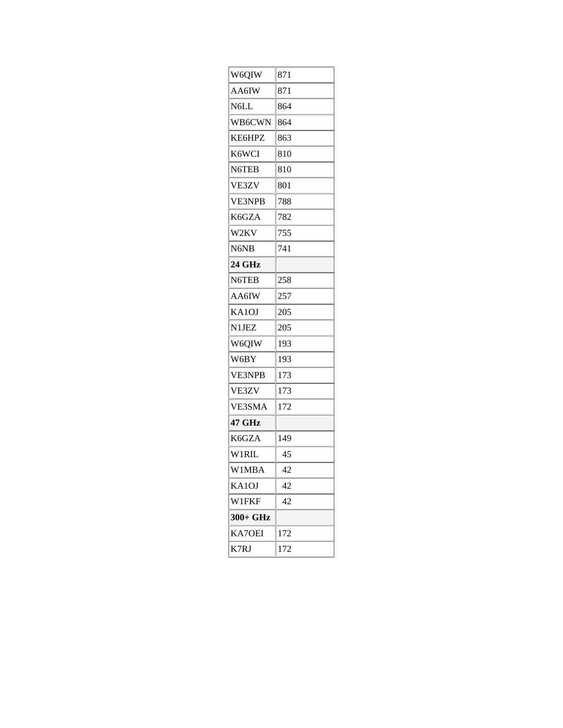| W6QIW         | 871 |
|---------------|-----|
| AA6IW         | 871 |
| N6LL          | 864 |
| WB6CWN        | 864 |
| KE6HPZ        | 863 |
| K6WCI         | 810 |
| N6TEB         | 810 |
| VE3ZV         | 801 |
| <b>VE3NPB</b> | 788 |
| K6GZA         | 782 |
| W2KV          | 755 |
| N6NB          | 741 |
| 24 GHz        |     |
| N6TEB         | 258 |
| AA6IW         | 257 |
| KA1OJ         | 205 |
| N1JEZ         | 205 |
| W6QIW         | 193 |
| W6BY          | 193 |
| <b>VE3NPB</b> | 173 |
| VE3ZV         | 173 |
| VE3SMA        | 172 |
| 47 GHz        |     |
| K6GZA         | 149 |
| W1RIL         | 45  |
| W1MBA         | 42  |
| KA1OJ         | 42  |
| <b>W1FKF</b>  | 42  |
| 300+ GHz      |     |
| <b>KA7OEI</b> | 172 |
| K7RJ          | 172 |